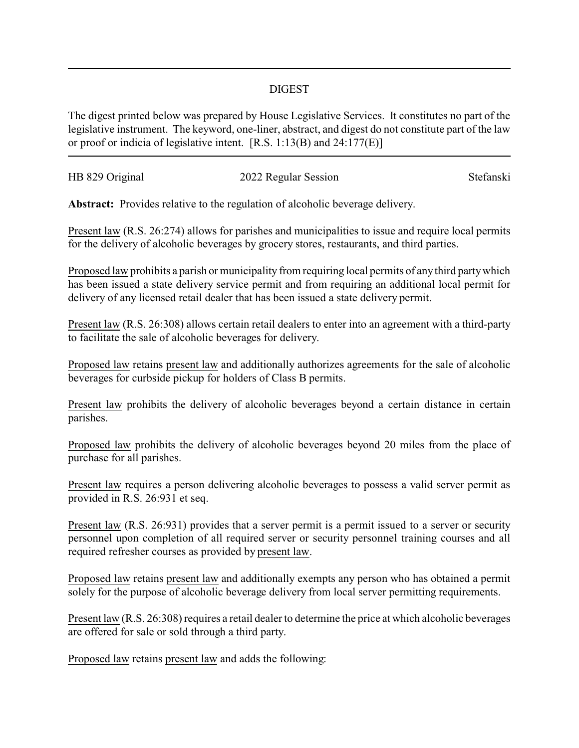## DIGEST

The digest printed below was prepared by House Legislative Services. It constitutes no part of the legislative instrument. The keyword, one-liner, abstract, and digest do not constitute part of the law or proof or indicia of legislative intent. [R.S. 1:13(B) and 24:177(E)]

| HB 829 Original | 2022 Regular Session | Stefanski |
|-----------------|----------------------|-----------|
|                 |                      |           |

**Abstract:** Provides relative to the regulation of alcoholic beverage delivery.

Present law (R.S. 26:274) allows for parishes and municipalities to issue and require local permits for the delivery of alcoholic beverages by grocery stores, restaurants, and third parties.

Proposed law prohibits a parish or municipality from requiring local permits of any third party which has been issued a state delivery service permit and from requiring an additional local permit for delivery of any licensed retail dealer that has been issued a state delivery permit.

Present law (R.S. 26:308) allows certain retail dealers to enter into an agreement with a third-party to facilitate the sale of alcoholic beverages for delivery.

Proposed law retains present law and additionally authorizes agreements for the sale of alcoholic beverages for curbside pickup for holders of Class B permits.

Present law prohibits the delivery of alcoholic beverages beyond a certain distance in certain parishes.

Proposed law prohibits the delivery of alcoholic beverages beyond 20 miles from the place of purchase for all parishes.

Present law requires a person delivering alcoholic beverages to possess a valid server permit as provided in R.S. 26:931 et seq.

Present law (R.S. 26:931) provides that a server permit is a permit issued to a server or security personnel upon completion of all required server or security personnel training courses and all required refresher courses as provided by present law.

Proposed law retains present law and additionally exempts any person who has obtained a permit solely for the purpose of alcoholic beverage delivery from local server permitting requirements.

Present law (R.S. 26:308) requires a retail dealer to determine the price at which alcoholic beverages are offered for sale or sold through a third party.

Proposed law retains present law and adds the following: